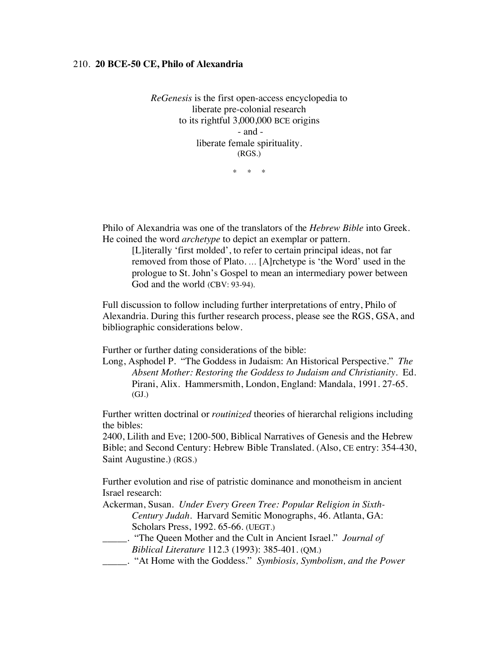## 210. **20 BCE-50 CE, Philo of Alexandria**

*ReGenesis* is the first open-access encyclopedia to liberate pre-colonial research to its rightful 3,000,000 BCE origins - and liberate female spirituality. (RGS.)

\* \* \*

Philo of Alexandria was one of the translators of the *Hebrew Bible* into Greek. He coined the word *archetype* to depict an exemplar or pattern.

[L]iterally 'first molded', to refer to certain principal ideas, not far removed from those of Plato. … [A]rchetype is 'the Word' used in the prologue to St. John's Gospel to mean an intermediary power between God and the world (CBV: 93-94).

Full discussion to follow including further interpretations of entry, Philo of Alexandria. During this further research process, please see the RGS, GSA, and bibliographic considerations below.

Further or further dating considerations of the bible:

Long, Asphodel P. "The Goddess in Judaism: An Historical Perspective." *The Absent Mother: Restoring the Goddess to Judaism and Christianity.* Ed. Pirani, Alix. Hammersmith, London, England: Mandala, 1991. 27-65. (GJ.)

Further written doctrinal or *routinized* theories of hierarchal religions including the bibles:

2400, Lilith and Eve; 1200-500, Biblical Narratives of Genesis and the Hebrew Bible; and Second Century: Hebrew Bible Translated. (Also, CE entry: 354-430, Saint Augustine.) (RGS.)

Further evolution and rise of patristic dominance and monotheism in ancient Israel research:

Ackerman, Susan. *Under Every Green Tree: Popular Religion in Sixth-Century Judah*. Harvard Semitic Monographs, 46. Atlanta, GA: Scholars Press, 1992. 65-66. (UEGT.)

- \_\_\_\_\_. "The Queen Mother and the Cult in Ancient Israel." *Journal of Biblical Literature* 112.3 (1993): 385-401. (QM.)
- \_\_\_\_\_. "At Home with the Goddess." *Symbiosis, Symbolism, and the Power*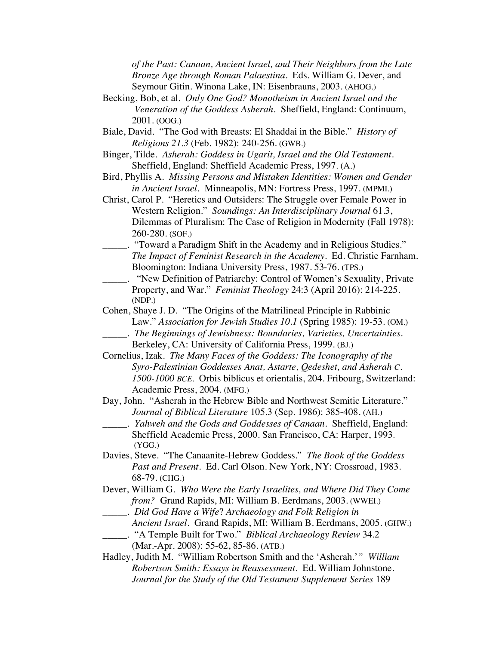*of the Past: Canaan, Ancient Israel, and Their Neighbors from the Late Bronze Age through Roman Palaestina.* Eds. William G. Dever, and Seymour Gitin. Winona Lake, IN: Eisenbrauns, 2003. (AHOG.)

- Becking, Bob, et al. *Only One God? Monotheism in Ancient Israel and the Veneration of the Goddess Asherah.* Sheffield, England: Continuum, 2001. (OOG.)
- Biale, David. "The God with Breasts: El Shaddai in the Bible." *History of Religions 21.3* (Feb. 1982): 240-256. (GWB.)
- Binger, Tilde. *Asherah: Goddess in Ugarit, Israel and the Old Testament.* Sheffield, England: Sheffield Academic Press, 1997. (A.)
- Bird, Phyllis A. *Missing Persons and Mistaken Identities: Women and Gender in Ancient Israel.* Minneapolis, MN: Fortress Press, 1997. (MPMI.)
- Christ, Carol P. "Heretics and Outsiders: The Struggle over Female Power in Western Religion." *Soundings: An Interdisciplinary Journal* 61.3, Dilemmas of Pluralism: The Case of Religion in Modernity (Fall 1978): 260-280. (SOF.)
- \_\_\_\_\_. "Toward a Paradigm Shift in the Academy and in Religious Studies." *The Impact of Feminist Research in the Academy*. Ed. Christie Farnham. Bloomington: Indiana University Press, 1987. 53-76. (TPS.)
- \_\_\_\_\_. "New Definition of Patriarchy: Control of Women's Sexuality, Private Property, and War." *Feminist Theology* 24:3 (April 2016): 214-225. (NDP.)
- Cohen, Shaye J. D. "The Origins of the Matrilineal Principle in Rabbinic Law." *Association for Jewish Studies 10.1* (Spring 1985): 19-53. (OM.) \_\_\_\_\_. *The Beginnings of Jewishness: Boundaries, Varieties, Uncertainties.*
- Berkeley, CA: University of California Press, 1999. (BJ.)
- Cornelius, Izak. *The Many Faces of the Goddess: The Iconography of the Syro-Palestinian Goddesses Anat, Astarte, Qedeshet, and Asherah C. 1500-1000 BCE.* Orbis biblicus et orientalis, 204. Fribourg, Switzerland: Academic Press, 2004. (MFG.)

Day, John. "Asherah in the Hebrew Bible and Northwest Semitic Literature." *Journal of Biblical Literature* 105.3 (Sep. 1986): 385-408. (AH.)

- \_\_\_\_\_. *Yahweh and the Gods and Goddesses of Canaan*. Sheffield, England: Sheffield Academic Press, 2000. San Francisco, CA: Harper, 1993. (YGG.)
- Davies, Steve. "The Canaanite-Hebrew Goddess." *The Book of the Goddess Past and Present*. Ed. Carl Olson. New York, NY: Crossroad, 1983. 68-79. (CHG.)
- Dever, William G. *Who Were the Early Israelites, and Where Did They Come from?* Grand Rapids, MI: William B. Eerdmans, 2003. (WWEI.)
- \_\_\_\_\_. *Did God Have a Wife*? *Archaeology and Folk Religion in*
	- *Ancient Israel.* Grand Rapids, MI: William B. Eerdmans, 2005. (GHW.) \_\_\_\_\_. "A Temple Built for Two." *Biblical Archaeology Review* 34.2
		- (Mar.-Apr. 2008): 55-62, 85-86. (ATB.)
- Hadley, Judith M. "William Robertson Smith and the 'Asherah.'*" William Robertson Smith: Essays in Reassessment*. Ed. William Johnstone. *Journal for the Study of the Old Testament Supplement Series* 189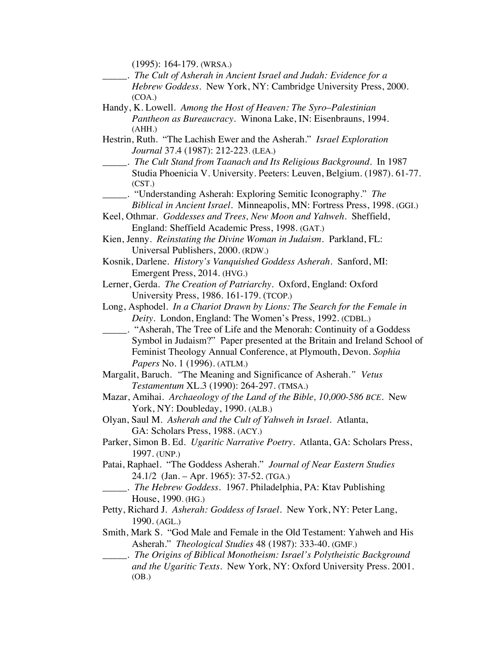(1995): 164-179. (WRSA.)

- \_\_\_\_\_. *The Cult of Asherah in Ancient Israel and Judah: Evidence for a Hebrew Goddess*. New York, NY: Cambridge University Press, 2000. (COA.)
- Handy, K. Lowell. *Among the Host of Heaven: The Syro*–*Palestinian Pantheon as Bureaucracy*. Winona Lake, IN: Eisenbrauns, 1994. (AHH.)
- Hestrin, Ruth. "The Lachish Ewer and the Asherah." *Israel Exploration Journal* 37.4 (1987): 212-223. (LEA.)
- \_\_\_\_\_. *The Cult Stand from Taanach and Its Religious Background*. In 1987 Studia Phoenicia V. University. Peeters: Leuven, Belgium. (1987). 61-77. (CST.)
	- \_\_\_\_\_. "Understanding Asherah: Exploring Semitic Iconography." *The Biblical in Ancient Israel.* Minneapolis, MN: Fortress Press, 1998. (GGI.)

Keel, Othmar. *Goddesses and Trees, New Moon and Yahweh*. Sheffield, England: Sheffield Academic Press, 1998. (GAT.)

- Kien, Jenny. *Reinstating the Divine Woman in Judaism.* Parkland, FL: Universal Publishers, 2000. (RDW.)
- Kosnik, Darlene. *History's Vanquished Goddess Asherah.* Sanford, MI: Emergent Press, 2014. (HVG.)
- Lerner, Gerda. *The Creation of Patriarchy.* Oxford, England: Oxford University Press, 1986. 161-179. (TCOP.)
- Long, Asphodel. *In a Chariot Drawn by Lions: The Search for the Female in Deity.* London, England: The Women's Press, 1992. (CDBL.)
- \_\_\_\_\_. "Asherah, The Tree of Life and the Menorah: Continuity of a Goddess Symbol in Judaism?" Paper presented at the Britain and Ireland School of Feminist Theology Annual Conference, at Plymouth, Devon. *Sophia Papers* No. 1 (1996). (ATLM.)
- Margalit, Baruch. *"*The Meaning and Significance of Asherah.*" Vetus Testamentum* XL.3 (1990): 264-297. (TMSA.)
- Mazar, Amihai. *Archaeology of the Land of the Bible, 10,000-586 BCE.* New York, NY: Doubleday, 1990. (ALB.)
- Olyan, Saul M. *Asherah and the Cult of Yahweh in Israel.* Atlanta, GA: Scholars Press, 1988. (ACY.)
- Parker, Simon B. Ed. *Ugaritic Narrative Poetry.* Atlanta, GA: Scholars Press, 1997. (UNP.)
- Patai, Raphael. "The Goddess Asherah." *Journal of Near Eastern Studies* 24.1/2 (Jan. – Apr. 1965): 37-52. (TGA.)
	- \_\_\_\_\_. *The Hebrew Goddess.* 1967. Philadelphia, PA: Ktav Publishing House, 1990. (HG.)
- Petty, Richard J*. Asherah: Goddess of Israel*. New York, NY: Peter Lang, 1990. (AGL.)
- Smith, Mark S. "God Male and Female in the Old Testament: Yahweh and His Asherah." *Theological Studies* 48 (1987): 333-40. (GMF.)
- \_\_\_\_\_. *The Origins of Biblical Monotheism: Israel's Polytheistic Background and the Ugaritic Texts.* New York, NY: Oxford University Press. 2001. (OB.)